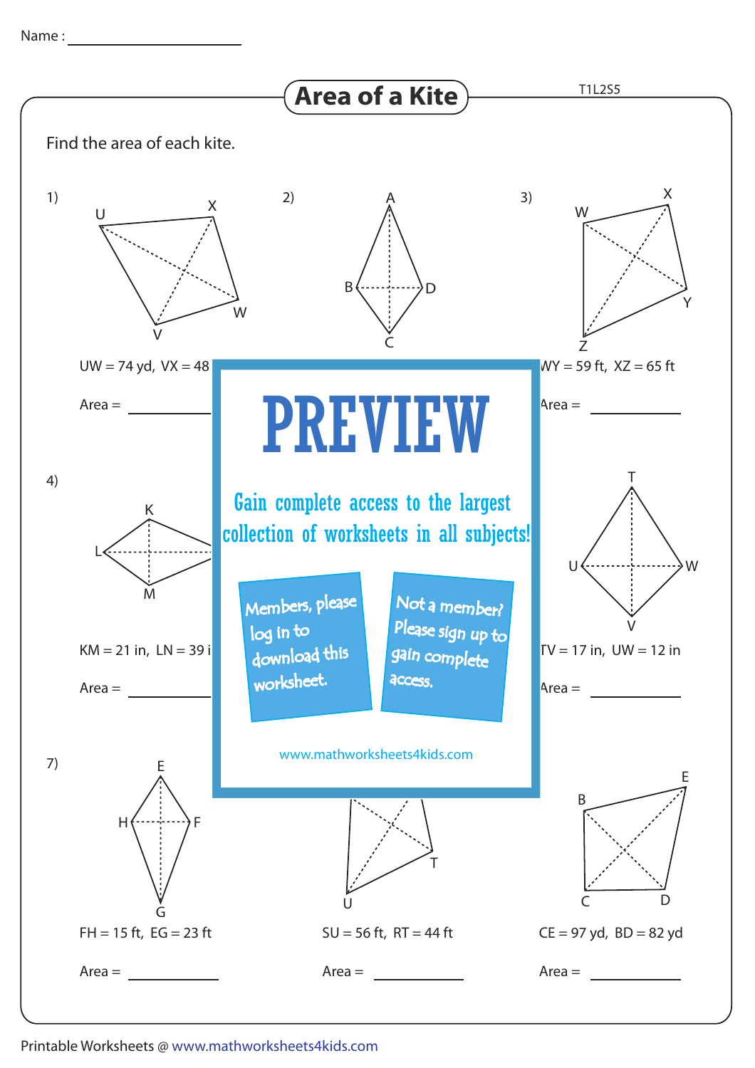